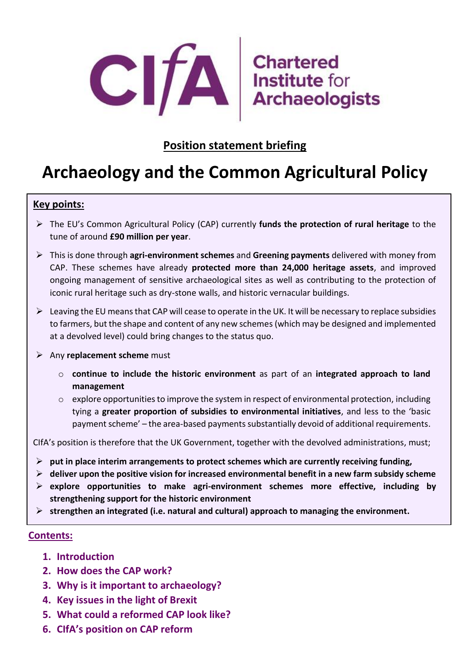

### **Position statement briefing**

# **Archaeology and the Common Agricultural Policy**

#### **Key points:**

- ➢ The EU's Common Agricultural Policy (CAP) currently **funds the protection of rural heritage** to the tune of around **£90 million per year**.
- ➢ This is done through **agri-environment schemes** and **Greening payments** delivered with money from CAP. These schemes have already **protected more than 24,000 heritage assets**, and improved ongoing management of sensitive archaeological sites as well as contributing to the protection of iconic rural heritage such as dry-stone walls, and historic vernacular buildings.
- $\triangleright$  Leaving the EU means that CAP will cease to operate in the UK. It will be necessary to replace subsidies to farmers, but the shape and content of any new schemes(which may be designed and implemented at a devolved level) could bring changes to the status quo.
- ➢ Any **replacement scheme** must
	- o **continue to include the historic environment** as part of an **integrated approach to land management**
	- $\circ$  explore opportunities to improve the system in respect of environmental protection, including tying a **greater proportion of subsidies to environmental initiatives**, and less to the 'basic payment scheme' – the area-based payments substantially devoid of additional requirements.

CIfA's position is therefore that the UK Government, together with the devolved administrations, must;

- ➢ **put in place interim arrangements to protect schemes which are currently receiving funding,**
- ➢ **deliver upon the positive vision for increased environmental benefit in a new farm subsidy scheme**
- ➢ **explore opportunities to make agri-environment schemes more effective, including by strengthening support for the historic environment**
- ➢ **strengthen an integrated (i.e. natural and cultural) approach to managing the environment.**

#### **Contents:**

- **1. Introduction**
- **2. How does the CAP work?**
- **3. Why is it important to archaeology?**
- **4. Key issues in the light of Brexit**
- **5. What could a reformed CAP look like?**
- **6. CIfA's position on CAP reform**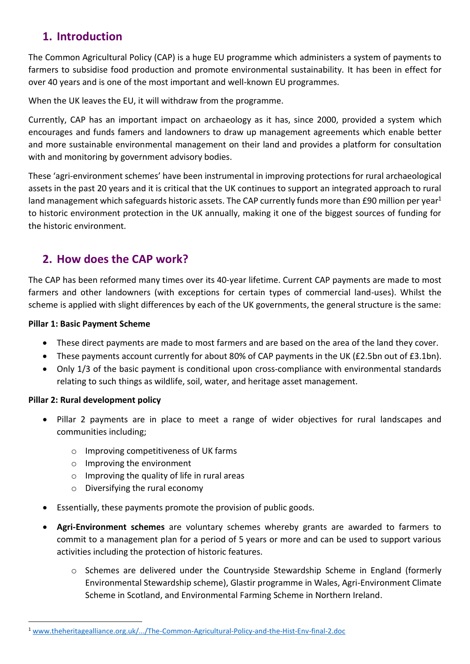### **1. Introduction**

The Common Agricultural Policy (CAP) is a huge EU programme which administers a system of payments to farmers to subsidise food production and promote environmental sustainability. It has been in effect for over 40 years and is one of the most important and well-known EU programmes.

When the UK leaves the EU, it will withdraw from the programme.

Currently, CAP has an important impact on archaeology as it has, since 2000, provided a system which encourages and funds famers and landowners to draw up management agreements which enable better and more sustainable environmental management on their land and provides a platform for consultation with and monitoring by government advisory bodies.

These 'agri-environment schemes' have been instrumental in improving protections for rural archaeological assets in the past 20 years and it is critical that the UK continues to support an integrated approach to rural land management which safeguards historic assets. The CAP currently funds more than £90 million per year<sup>1</sup> to historic environment protection in the UK annually, making it one of the biggest sources of funding for the historic environment.

### **2. How does the CAP work?**

The CAP has been reformed many times over its 40-year lifetime. Current CAP payments are made to most farmers and other landowners (with exceptions for certain types of commercial land-uses). Whilst the scheme is applied with slight differences by each of the UK governments, the general structure is the same:

#### **Pillar 1: Basic Payment Scheme**

- These direct payments are made to most farmers and are based on the area of the land they cover.
- These payments account currently for about 80% of CAP payments in the UK (£2.5bn out of £3.1bn).
- Only 1/3 of the basic payment is conditional upon cross-compliance with environmental standards relating to such things as wildlife, soil, water, and heritage asset management.

#### **Pillar 2: Rural development policy**

**.** 

- Pillar 2 payments are in place to meet a range of wider objectives for rural landscapes and communities including;
	- o Improving competitiveness of UK farms
	- o Improving the environment
	- $\circ$  Improving the quality of life in rural areas
	- o Diversifying the rural economy
- Essentially, these payments promote the provision of public goods.
- **Agri-Environment schemes** are voluntary schemes whereby grants are awarded to farmers to commit to a management plan for a period of 5 years or more and can be used to support various activities including the protection of historic features.
	- o Schemes are delivered under the Countryside Stewardship Scheme in England (formerly Environmental Stewardship scheme), Glastir programme in Wales, Agri-Environment Climate Scheme in Scotland, and Environmental Farming Scheme in Northern Ireland.

<sup>1</sup> [www.theheritagealliance.org.uk/.../The-Common-Agricultural-Policy-and-the-Hist-Env-final-2.doc](http://www.theheritagealliance.org.uk/.../The-Common-Agricultural-Policy-and-the-Hist-Env-final-2.doc)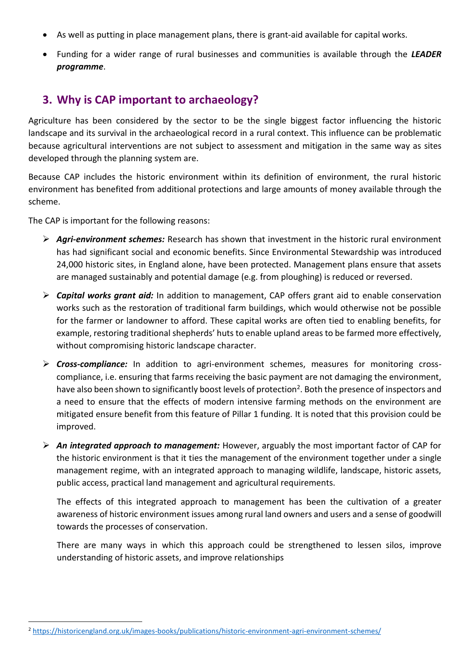- As well as putting in place management plans, there is grant-aid available for capital works.
- Funding for a wider range of rural businesses and communities is available through the *LEADER programme*.

### **3. Why is CAP important to archaeology?**

Agriculture has been considered by the sector to be the single biggest factor influencing the historic landscape and its survival in the archaeological record in a rural context. This influence can be problematic because agricultural interventions are not subject to assessment and mitigation in the same way as sites developed through the planning system are.

Because CAP includes the historic environment within its definition of environment, the rural historic environment has benefited from additional protections and large amounts of money available through the scheme.

The CAP is important for the following reasons:

**.** 

- ➢ *Agri-environment schemes:* Research has shown that investment in the historic rural environment has had significant social and economic benefits. Since Environmental Stewardship was introduced 24,000 historic sites, in England alone, have been protected. Management plans ensure that assets are managed sustainably and potential damage (e.g. from ploughing) is reduced or reversed.
- ➢ *Capital works grant aid:* In addition to management, CAP offers grant aid to enable conservation works such as the restoration of traditional farm buildings, which would otherwise not be possible for the farmer or landowner to afford. These capital works are often tied to enabling benefits, for example, restoring traditional shepherds' huts to enable upland areas to be farmed more effectively, without compromising historic landscape character.
- ➢ *Cross-compliance:* In addition to agri-environment schemes, measures for monitoring crosscompliance, i.e. ensuring that farms receiving the basic payment are not damaging the environment, have also been shown to significantly boost levels of protection<sup>2</sup>. Both the presence of inspectors and a need to ensure that the effects of modern intensive farming methods on the environment are mitigated ensure benefit from this feature of Pillar 1 funding. It is noted that this provision could be improved.
- ➢ *An integrated approach to management:* However, arguably the most important factor of CAP for the historic environment is that it ties the management of the environment together under a single management regime, with an integrated approach to managing wildlife, landscape, historic assets, public access, practical land management and agricultural requirements.

The effects of this integrated approach to management has been the cultivation of a greater awareness of historic environment issues among rural land owners and users and a sense of goodwill towards the processes of conservation.

There are many ways in which this approach could be strengthened to lessen silos, improve understanding of historic assets, and improve relationships

<sup>2</sup> <https://historicengland.org.uk/images-books/publications/historic-environment-agri-environment-schemes/>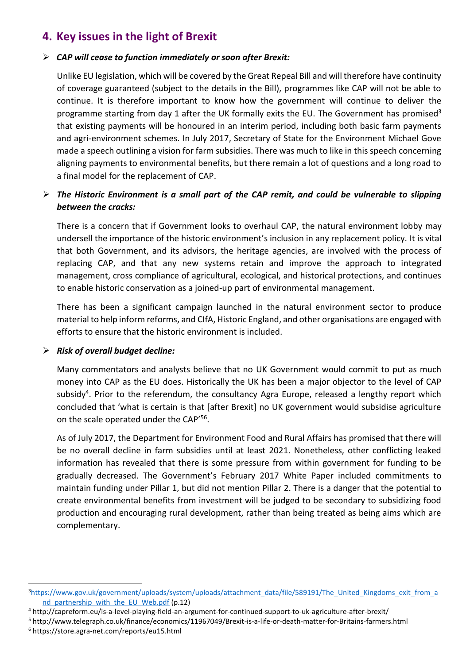### **4. Key issues in the light of Brexit**

#### ➢ *CAP will cease to function immediately or soon after Brexit:*

Unlike EU legislation, which will be covered by the Great Repeal Bill and will therefore have continuity of coverage guaranteed (subject to the details in the Bill), programmes like CAP will not be able to continue. It is therefore important to know how the government will continue to deliver the programme starting from day 1 after the UK formally exits the EU. The Government has promised<sup>3</sup> that existing payments will be honoured in an interim period, including both basic farm payments and agri-environment schemes. In July 2017, Secretary of State for the Environment Michael Gove made a speech outlining a vision for farm subsidies. There was much to like in this speech concerning aligning payments to environmental benefits, but there remain a lot of questions and a long road to a final model for the replacement of CAP.

#### ➢ *The Historic Environment is a small part of the CAP remit, and could be vulnerable to slipping between the cracks:*

There is a concern that if Government looks to overhaul CAP, the natural environment lobby may undersell the importance of the historic environment's inclusion in any replacement policy. It is vital that both Government, and its advisors, the heritage agencies, are involved with the process of replacing CAP, and that any new systems retain and improve the approach to integrated management, cross compliance of agricultural, ecological, and historical protections, and continues to enable historic conservation as a joined-up part of environmental management.

There has been a significant campaign launched in the natural environment sector to produce material to help inform reforms, and CIfA, Historic England, and other organisations are engaged with efforts to ensure that the historic environment is included.

#### ➢ *Risk of overall budget decline:*

**.** 

Many commentators and analysts believe that no UK Government would commit to put as much money into CAP as the EU does. Historically the UK has been a major objector to the level of CAP subsidy<sup>4</sup>. Prior to the referendum, the consultancy Agra Europe, released a lengthy report which concluded that 'what is certain is that [after Brexit] no UK government would subsidise agriculture on the scale operated under the CAP'<sup>56</sup>.

As of July 2017, the Department for Environment Food and Rural Affairs has promised that there will be no overall decline in farm subsidies until at least 2021. Nonetheless, other conflicting leaked information has revealed that there is some pressure from within government for funding to be gradually decreased. The Government's February 2017 White Paper included commitments to maintain funding under Pillar 1, but did not mention Pillar 2. There is a danger that the potential to create environmental benefits from investment will be judged to be secondary to subsidizing food production and encouraging rural development, rather than being treated as being aims which are complementary.

<sup>&</sup>lt;sup>3</sup>[https://www.gov.uk/government/uploads/system/uploads/attachment\\_data/file/589191/The\\_United\\_Kingdoms\\_exit\\_from\\_a](https://www.gov.uk/government/uploads/system/uploads/attachment_data/file/589191/The_United_Kingdoms_exit_from_and_partnership_with_the_EU_Web.pdf) nd partnership with the EU Web.pdf (p.12)

<sup>4</sup> http://capreform.eu/is-a-level-playing-field-an-argument-for-continued-support-to-uk-agriculture-after-brexit/

<sup>5</sup> http://www.telegraph.co.uk/finance/economics/11967049/Brexit-is-a-life-or-death-matter-for-Britains-farmers.html <sup>6</sup> https://store.agra-net.com/reports/eu15.html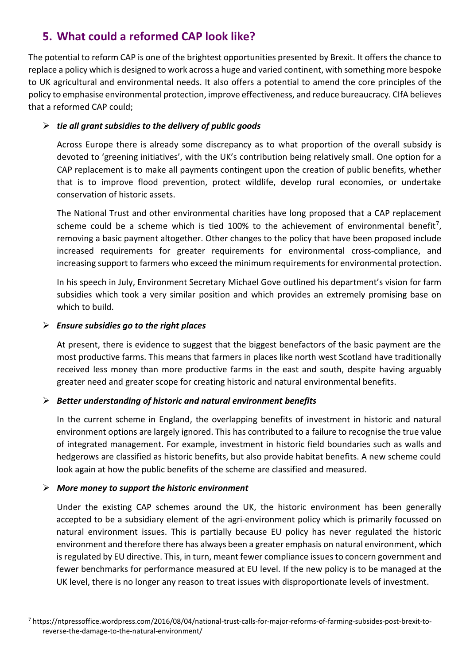### **5. What could a reformed CAP look like?**

The potential to reform CAP is one of the brightest opportunities presented by Brexit. It offers the chance to replace a policy which is designed to work across a huge and varied continent, with something more bespoke to UK agricultural and environmental needs. It also offers a potential to amend the core principles of the policy to emphasise environmental protection, improve effectiveness, and reduce bureaucracy. CIfA believes that a reformed CAP could;

#### ➢ *tie all grant subsidies to the delivery of public goods*

Across Europe there is already some discrepancy as to what proportion of the overall subsidy is devoted to 'greening initiatives', with the UK's contribution being relatively small. One option for a CAP replacement is to make all payments contingent upon the creation of public benefits, whether that is to improve flood prevention, protect wildlife, develop rural economies, or undertake conservation of historic assets.

The National Trust and other environmental charities have long proposed that a CAP replacement scheme could be a scheme which is tied 100% to the achievement of environmental benefit<sup>7</sup>, removing a basic payment altogether. Other changes to the policy that have been proposed include increased requirements for greater requirements for environmental cross-compliance, and increasing support to farmers who exceed the minimum requirements for environmental protection.

In his speech in July, Environment Secretary Michael Gove outlined his department's vision for farm subsidies which took a very similar position and which provides an extremely promising base on which to build.

#### ➢ *Ensure subsidies go to the right places*

At present, there is evidence to suggest that the biggest benefactors of the basic payment are the most productive farms. This means that farmers in places like north west Scotland have traditionally received less money than more productive farms in the east and south, despite having arguably greater need and greater scope for creating historic and natural environmental benefits.

#### ➢ *Better understanding of historic and natural environment benefits*

In the current scheme in England, the overlapping benefits of investment in historic and natural environment options are largely ignored. This has contributed to a failure to recognise the true value of integrated management. For example, investment in historic field boundaries such as walls and hedgerows are classified as historic benefits, but also provide habitat benefits. A new scheme could look again at how the public benefits of the scheme are classified and measured.

#### ➢ *More money to support the historic environment*

 $\overline{a}$ 

Under the existing CAP schemes around the UK, the historic environment has been generally accepted to be a subsidiary element of the agri-environment policy which is primarily focussed on natural environment issues. This is partially because EU policy has never regulated the historic environment and therefore there has always been a greater emphasis on natural environment, which is regulated by EU directive. This, in turn, meant fewer compliance issues to concern government and fewer benchmarks for performance measured at EU level. If the new policy is to be managed at the UK level, there is no longer any reason to treat issues with disproportionate levels of investment.

<sup>7</sup> https://ntpressoffice.wordpress.com/2016/08/04/national-trust-calls-for-major-reforms-of-farming-subsides-post-brexit-toreverse-the-damage-to-the-natural-environment/